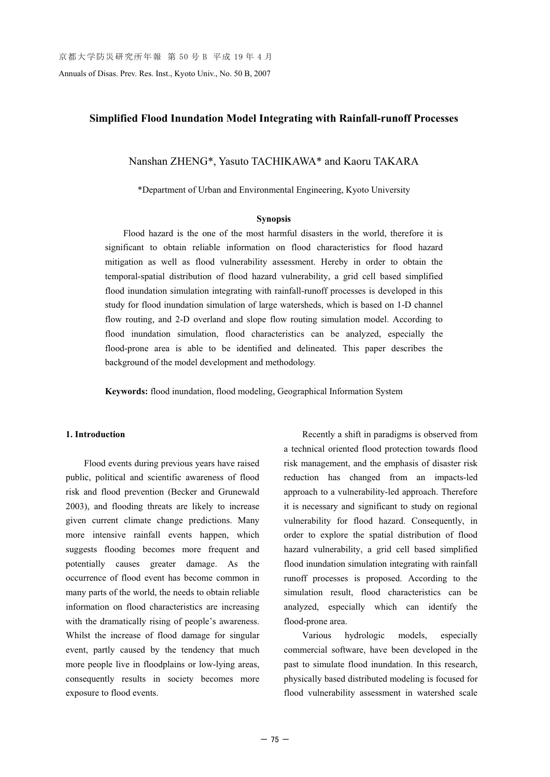Annuals of Disas. Prev. Res. Inst., Kyoto Univ., No. 50 B, 2007

# **Simplified Flood Inundation Model Integrating with Rainfall-runoff Processes**

Nanshan ZHENG\*, Yasuto TACHIKAWA\* and Kaoru TAKARA

\*Department of Urban and Environmental Engineering, Kyoto University

#### **Synopsis**

Flood hazard is the one of the most harmful disasters in the world, therefore it is significant to obtain reliable information on flood characteristics for flood hazard mitigation as well as flood vulnerability assessment. Hereby in order to obtain the temporal-spatial distribution of flood hazard vulnerability, a grid cell based simplified flood inundation simulation integrating with rainfall-runoff processes is developed in this study for flood inundation simulation of large watersheds, which is based on 1-D channel flow routing, and 2-D overland and slope flow routing simulation model. According to flood inundation simulation, flood characteristics can be analyzed, especially the flood-prone area is able to be identified and delineated. This paper describes the background of the model development and methodology.

**Keywords:** flood inundation, flood modeling, Geographical Information System

## **1. Introduction**

Flood events during previous years have raised public, political and scientific awareness of flood risk and flood prevention (Becker and Grunewald 2003), and flooding threats are likely to increase given current climate change predictions. Many more intensive rainfall events happen, which suggests flooding becomes more frequent and potentially causes greater damage. As the occurrence of flood event has become common in many parts of the world, the needs to obtain reliable information on flood characteristics are increasing with the dramatically rising of people's awareness. Whilst the increase of flood damage for singular event, partly caused by the tendency that much more people live in floodplains or low-lying areas, consequently results in society becomes more exposure to flood events.

Recently a shift in paradigms is observed from a technical oriented flood protection towards flood risk management, and the emphasis of disaster risk reduction has changed from an impacts-led approach to a vulnerability-led approach. Therefore it is necessary and significant to study on regional vulnerability for flood hazard. Consequently, in order to explore the spatial distribution of flood hazard vulnerability, a grid cell based simplified flood inundation simulation integrating with rainfall runoff processes is proposed. According to the simulation result, flood characteristics can be analyzed, especially which can identify the flood-prone area.

Various hydrologic models, especially commercial software, have been developed in the past to simulate flood inundation. In this research, physically based distributed modeling is focused for flood vulnerability assessment in watershed scale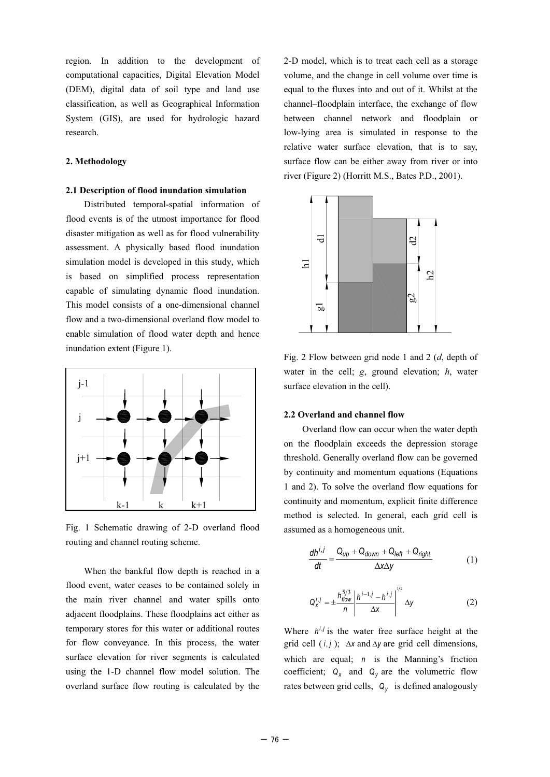region. In addition to the development of computational capacities, Digital Elevation Model (DEM), digital data of soil type and land use classification, as well as Geographical Information System (GIS), are used for hydrologic hazard research.

## **2. Methodology**

#### **2.1 Description of flood inundation simulation**

Distributed temporal-spatial information of flood events is of the utmost importance for flood disaster mitigation as well as for flood vulnerability assessment. A physically based flood inundation simulation model is developed in this study, which is based on simplified process representation capable of simulating dynamic flood inundation. This model consists of a one-dimensional channel flow and a two-dimensional overland flow model to enable simulation of flood water depth and hence inundation extent (Figure 1).



Fig. 1 Schematic drawing of 2-D overland flood routing and channel routing scheme.

When the bankful flow depth is reached in a flood event, water ceases to be contained solely in the main river channel and water spills onto adjacent floodplains. These floodplains act either as temporary stores for this water or additional routes for flow conveyance. In this process, the water surface elevation for river segments is calculated using the 1-D channel flow model solution. The overland surface flow routing is calculated by the 2-D model, which is to treat each cell as a storage volume, and the change in cell volume over time is equal to the fluxes into and out of it. Whilst at the channel–floodplain interface, the exchange of flow between channel network and floodplain or low-lying area is simulated in response to the relative water surface elevation, that is to say, surface flow can be either away from river or into river (Figure 2) (Horritt M.S., Bates P.D., 2001).



Fig. 2 Flow between grid node 1 and 2 (*d*, depth of water in the cell; *g*, ground elevation; *h*, water surface elevation in the cell).

#### **2.2 Overland and channel flow**

Overland flow can occur when the water depth on the floodplain exceeds the depression storage threshold. Generally overland flow can be governed by continuity and momentum equations (Equations 1 and 2). To solve the overland flow equations for continuity and momentum, explicit finite difference method is selected. In general, each grid cell is assumed as a homogeneous unit.

$$
\frac{dh^{i,j}}{dt} = \frac{Q_{up} + Q_{down} + Q_{left} + Q_{right}}{\Delta x \Delta y}
$$
(1)

$$
Q_X^{i,j} = \pm \frac{h_{flow}^{5/3}}{n} \left| \frac{h^{i-1,j} - h^{i,j}}{\Delta x} \right|^{1/2} \Delta y
$$
 (2)

Where  $h^{i,j}$  is the water free surface height at the grid cell  $(i, j)$ ;  $\Delta x$  and  $\Delta y$  are grid cell dimensions, which are equal; *n* is the Manning's friction coefficient;  $Q_x$  and  $Q_y$  are the volumetric flow rates between grid cells,  $Q_{\gamma}$  is defined analogously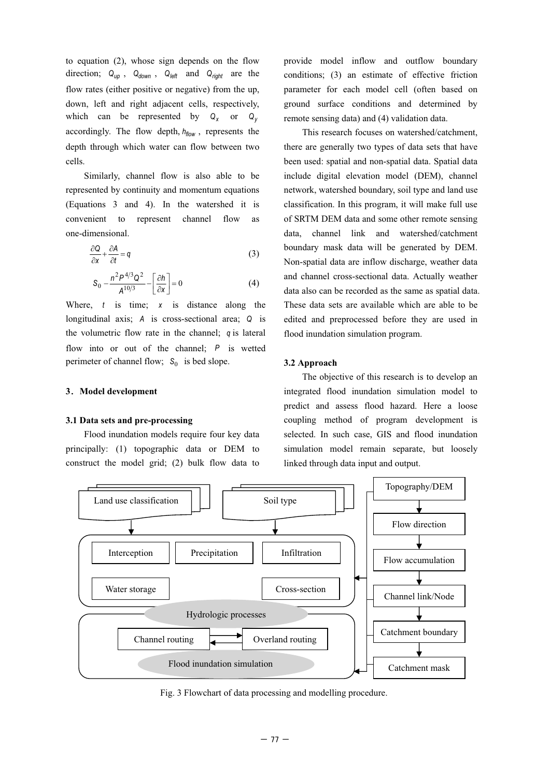to equation (2), whose sign depends on the flow direction;  $Q_{up}$ ,  $Q_{down}$ ,  $Q_{left}$  and  $Q_{right}$  are the flow rates (either positive or negative) from the up, down, left and right adjacent cells, respectively, which can be represented by  $Q_x$  or  $Q_y$ accordingly. The flow depth,  $h_{flow}$ , represents the depth through which water can flow between two cells.

Similarly, channel flow is also able to be represented by continuity and momentum equations (Equations 3 and 4). In the watershed it is convenient to represent channel flow as one-dimensional.

$$
\frac{\partial Q}{\partial x} + \frac{\partial A}{\partial t} = q \tag{3}
$$

$$
S_0 - \frac{n^2 P^{4/3} Q^2}{A^{10/3}} - \left[\frac{\partial h}{\partial x}\right] = 0
$$
 (4)

Where, *t* is time; *x* is distance along the longitudinal axis; *A* is cross-sectional area; *Q* is the volumetric flow rate in the channel; *q* is lateral flow into or out of the channel; *P* is wetted perimeter of channel flow; S<sub>0</sub> is bed slope.

## **3**ˊ**Model development**

## **3.1 Data sets and pre-processing**

Flood inundation models require four key data principally: (1) topographic data or DEM to construct the model grid; (2) bulk flow data to

provide model inflow and outflow boundary conditions; (3) an estimate of effective friction parameter for each model cell (often based on ground surface conditions and determined by remote sensing data) and (4) validation data.

This research focuses on watershed/catchment, there are generally two types of data sets that have been used: spatial and non-spatial data. Spatial data include digital elevation model (DEM), channel network, watershed boundary, soil type and land use classification. In this program, it will make full use of SRTM DEM data and some other remote sensing data, channel link and watershed/catchment boundary mask data will be generated by DEM. Non-spatial data are inflow discharge, weather data and channel cross-sectional data. Actually weather data also can be recorded as the same as spatial data. These data sets are available which are able to be edited and preprocessed before they are used in flood inundation simulation program.

#### **3.2 Approach**

The objective of this research is to develop an integrated flood inundation simulation model to predict and assess flood hazard. Here a loose coupling method of program development is selected. In such case, GIS and flood inundation simulation model remain separate, but loosely linked through data input and output.



Fig. 3 Flowchart of data processing and modelling procedure.